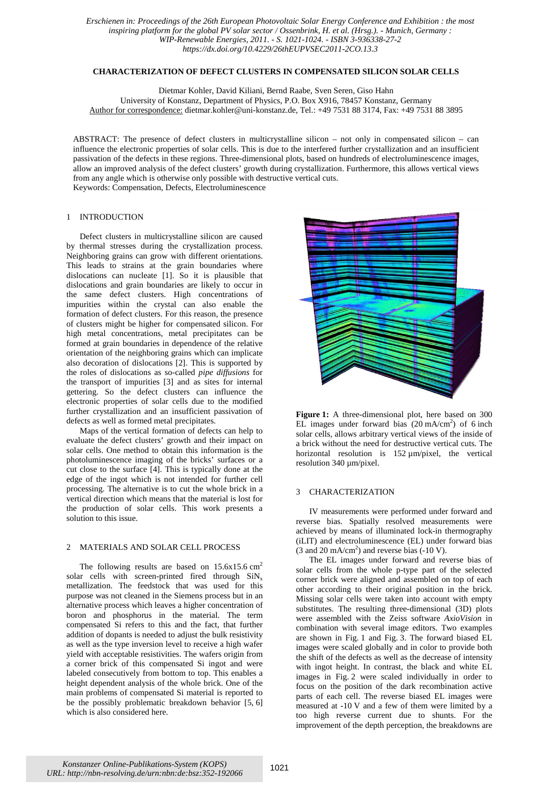*Erschienen in: Proceedings of the 26th European Photovoltaic Solar Energy Conference and Exhibition : the most inspiring platform for the global PV solar sector / Ossenbrink, H. et al. (Hrsg.). - Munich, Germany : WIP-Renewable Energies, 2011. - S. 1021-1024. - ISBN 3-936338-27-2 https://dx.doi.org/10.4229/26thEUPVSEC2011-2CO.13.3*

# **CHARACTERIZATION OF DEFECT CLUSTERS IN COMPENSATED SILICON SOLAR CELLS**

Dietmar Kohler, David Kiliani, Bernd Raabe, Sven Seren, Giso Hahn

University of Konstanz, Department of Physics, P.O. Box X916, 78457 Konstanz, Germany

Author for correspondence: dietmar.kohler@uni-konstanz.de, Tel.: +49 7531 88 3174, Fax: +49 7531 88 3895

ABSTRACT: The presence of defect clusters in multicrystalline silicon – not only in compensated silicon – can influence the electronic properties of solar cells. This is due to the interfered further crystallization and an insufficient passivation of the defects in these regions. Three-dimensional plots, based on hundreds of electroluminescence images, allow an improved analysis of the defect clusters' growth during crystallization. Furthermore, this allows vertical views from any angle which is otherwise only possible with destructive vertical cuts. Keywords: Compensation, Defects, Electroluminescence

## 1 INTRODUCTION

Defect clusters in multicrystalline silicon are caused by thermal stresses during the crystallization process. Neighboring grains can grow with different orientations. This leads to strains at the grain boundaries where dislocations can nucleate [1]. So it is plausible that dislocations and grain boundaries are likely to occur in the same defect clusters. High concentrations of impurities within the crystal can also enable the formation of defect clusters. For this reason, the presence of clusters might be higher for compensated silicon. For high metal concentrations, metal precipitates can be formed at grain boundaries in dependence of the relative orientation of the neighboring grains which can implicate also decoration of dislocations [2]. This is supported by the roles of dislocations as so-called *pipe diffusions* for the transport of impurities [3] and as sites for internal gettering. So the defect clusters can influence the electronic properties of solar cells due to the modified further crystallization and an insufficient passivation of defects as well as formed metal precipitates.

Maps of the vertical formation of defects can help to evaluate the defect clusters' growth and their impact on solar cells. One method to obtain this information is the photoluminescence imaging of the bricks' surfaces or a cut close to the surface [4]. This is typically done at the edge of the ingot which is not intended for further cell processing. The alternative is to cut the whole brick in a vertical direction which means that the material is lost for the production of solar cells. This work presents a solution to this issue.

#### 2 MATERIALS AND SOLAR CELL PROCESS

The following results are based on  $15.6x15.6$  cm<sup>2</sup> solar cells with screen-printed fired through  $\text{SiN}_x$ metallization. The feedstock that was used for this purpose was not cleaned in the Siemens process but in an alternative process which leaves a higher concentration of boron and phosphorus in the material. The term compensated Si refers to this and the fact, that further addition of dopants is needed to adjust the bulk resistivity as well as the type inversion level to receive a high wafer yield with acceptable resistivities. The wafers origin from a corner brick of this compensated Si ingot and were labeled consecutively from bottom to top. This enables a height dependent analysis of the whole brick. One of the main problems of compensated Si material is reported to be the possibly problematic breakdown behavior [5, 6] which is also considered here.



**Figure 1:** A three-dimensional plot, here based on 300 EL images under forward bias  $(20 \text{ mA/cm}^2)$  of 6 inch solar cells, allows arbitrary vertical views of the inside of a brick without the need for destructive vertical cuts. The horizontal resolution is 152  $\mu$ m/pixel, the vertical resolution 340 µm/pixel.

### 3 CHARACTERIZATION

IV measurements were performed under forward and reverse bias. Spatially resolved measurements were achieved by means of illuminated lock-in thermography (iLIT) and electroluminescence (EL) under forward bias  $(3 \text{ and } 20 \text{ mA/cm}^2)$  and reverse bias  $(-10 \text{ V})$ .

The EL images under forward and reverse bias of solar cells from the whole p-type part of the selected corner brick were aligned and assembled on top of each other according to their original position in the brick. Missing solar cells were taken into account with empty substitutes. The resulting three-dimensional (3D) plots were assembled with the Zeiss software *AxioVision* in combination with several image editors. Two examples are shown in Fig. 1 and Fig. 3. The forward biased EL images were scaled globally and in color to provide both the shift of the defects as well as the decrease of intensity with ingot height. In contrast, the black and white EL images in Fig. 2 were scaled individually in order to focus on the position of the dark recombination active parts of each cell. The reverse biased EL images were measured at -10 V and a few of them were limited by a too high reverse current due to shunts. For the improvement of the depth perception, the breakdowns are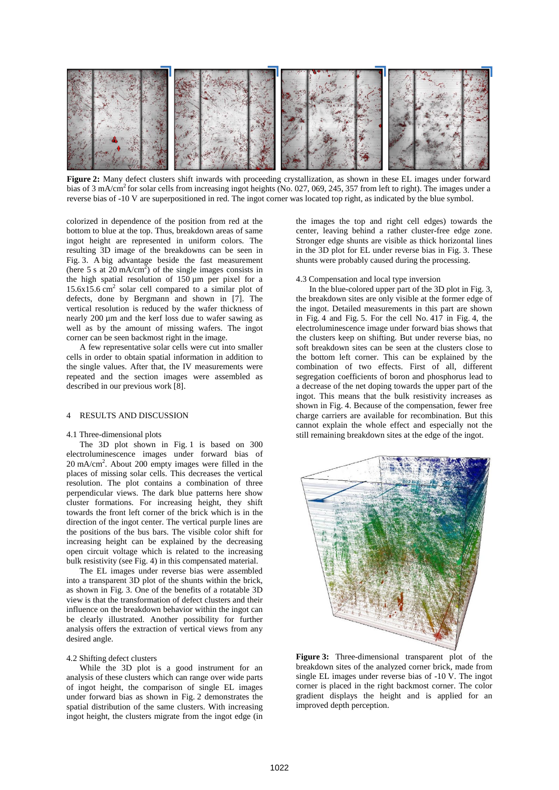

**Figure 2:** Many defect clusters shift inwards with proceeding crystallization, as shown in these EL images under forward bias of 3 mA/cm<sup>2</sup> for solar cells from increasing ingot heights (No. 027, 069, 245, 357 from left to right). The images under a reverse bias of -10 V are superpositioned in red. The ingot corner was located top right, as indicated by the blue symbol.

colorized in dependence of the position from red at the bottom to blue at the top. Thus, breakdown areas of same ingot height are represented in uniform colors. The resulting 3D image of the breakdowns can be seen in Fig. 3. A big advantage beside the fast measurement (here  $5 s$  at  $20 \text{ mA/cm}^2$ ) of the single images consists in the high spatial resolution of 150 µm per pixel for a  $15.6x15.6$  cm<sup>2</sup> solar cell compared to a similar plot of defects, done by Bergmann and shown in [7]. The vertical resolution is reduced by the wafer thickness of nearly 200 µm and the kerf loss due to wafer sawing as well as by the amount of missing wafers. The ingot corner can be seen backmost right in the image.

A few representative solar cells were cut into smaller cells in order to obtain spatial information in addition to the single values. After that, the IV measurements were repeated and the section images were assembled as described in our previous work [8].

### 4 RESULTS AND DISCUSSION

#### 4.1 Three-dimensional plots

The 3D plot shown in Fig. 1 is based on 300 electroluminescence images under forward bias of  $20 \text{ mA/cm}^2$ . About  $200 \text{ empty images}$  were filled in the places of missing solar cells. This decreases the vertical resolution. The plot contains a combination of three perpendicular views. The dark blue patterns here show cluster formations. For increasing height, they shift towards the front left corner of the brick which is in the direction of the ingot center. The vertical purple lines are the positions of the bus bars. The visible color shift for increasing height can be explained by the decreasing open circuit voltage which is related to the increasing bulk resistivity (see Fig. 4) in this compensated material.

The EL images under reverse bias were assembled into a transparent 3D plot of the shunts within the brick, as shown in Fig. 3. One of the benefits of a rotatable 3D view is that the transformation of defect clusters and their influence on the breakdown behavior within the ingot can be clearly illustrated. Another possibility for further analysis offers the extraction of vertical views from any desired angle.

### 4.2 Shifting defect clusters

While the 3D plot is a good instrument for an analysis of these clusters which can range over wide parts of ingot height, the comparison of single EL images under forward bias as shown in Fig. 2 demonstrates the spatial distribution of the same clusters. With increasing ingot height, the clusters migrate from the ingot edge (in the images the top and right cell edges) towards the center, leaving behind a rather cluster-free edge zone. Stronger edge shunts are visible as thick horizontal lines in the 3D plot for EL under reverse bias in Fig. 3. These shunts were probably caused during the processing.

#### 4.3 Compensation and local type inversion

In the blue-colored upper part of the 3D plot in Fig. 3, the breakdown sites are only visible at the former edge of the ingot. Detailed measurements in this part are shown in Fig. 4 and Fig. 5. For the cell No. 417 in Fig. 4, the electroluminescence image under forward bias shows that the clusters keep on shifting. But under reverse bias, no soft breakdown sites can be seen at the clusters close to the bottom left corner. This can be explained by the combination of two effects. First of all, different segregation coefficients of boron and phosphorus lead to a decrease of the net doping towards the upper part of the ingot. This means that the bulk resistivity increases as shown in Fig. 4. Because of the compensation, fewer free charge carriers are available for recombination. But this cannot explain the whole effect and especially not the still remaining breakdown sites at the edge of the ingot.



**Figure 3:** Three-dimensional transparent plot of the breakdown sites of the analyzed corner brick, made from single EL images under reverse bias of -10 V. The ingot corner is placed in the right backmost corner. The color gradient displays the height and is applied for an improved depth perception.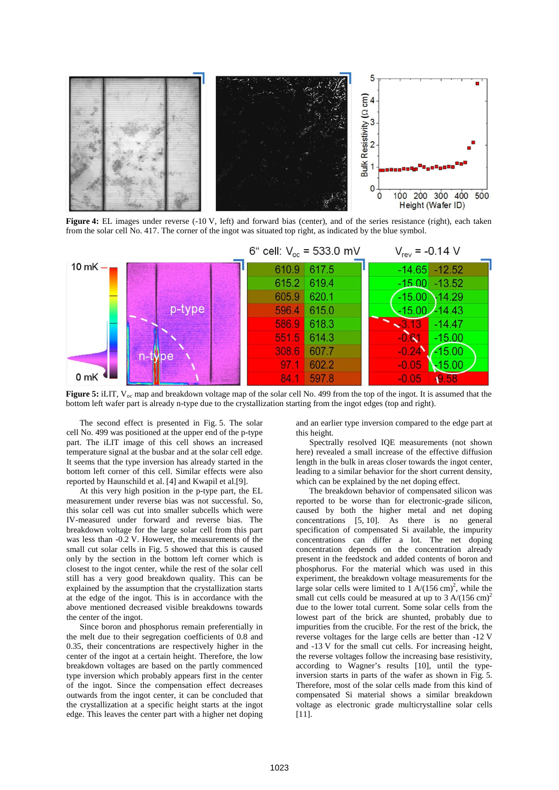

**Figure 4:** EL images under reverse (-10 V, left) and forward bias (center), and of the series resistance (right), each taken from the solar cell No. 417. The corner of the ingot was situated top right, as indicated by the blue symbol.



**Figure 5:** iLIT,  $V_{\text{oc}}$  map and breakdown voltage map of the solar cell No. 499 from the top of the ingot. It is assumed that the bottom left wafer part is already n-type due to the crystallization starting from the ingot edges (top and right).

The second effect is presented in Fig. 5. The solar cell No. 499 was positioned at the upper end of the p-type part. The iLIT image of this cell shows an increased temperature signal at the busbar and at the solar cell edge. It seems that the type inversion has already started in the bottom left corner of this cell. Similar effects were also reported by Haunschild et al. [4] and Kwapil et al.[9].

At this very high position in the p-type part, the EL measurement under reverse bias was not successful. So, this solar cell was cut into smaller subcells which were IV-measured under forward and reverse bias. The breakdown voltage for the large solar cell from this part was less than -0.2 V. However, the measurements of the small cut solar cells in Fig. 5 showed that this is caused only by the section in the bottom left corner which is closest to the ingot center, while the rest of the solar cell still has a very good breakdown quality. This can be explained by the assumption that the crystallization starts at the edge of the ingot. This is in accordance with the above mentioned decreased visible breakdowns towards the center of the ingot.

Since boron and phosphorus remain preferentially in the melt due to their segregation coefficients of 0.8 and 0.35, their concentrations are respectively higher in the center of the ingot at a certain height. Therefore, the low breakdown voltages are based on the partly commenced type inversion which probably appears first in the center of the ingot. Since the compensation effect decreases outwards from the ingot center, it can be concluded that the crystallization at a specific height starts at the ingot edge. This leaves the center part with a higher net doping and an earlier type inversion compared to the edge part at this height.

Spectrally resolved IQE measurements (not shown here) revealed a small increase of the effective diffusion length in the bulk in areas closer towards the ingot center, leading to a similar behavior for the short current density, which can be explained by the net doping effect.

The breakdown behavior of compensated silicon was reported to be worse than for electronic-grade silicon, caused by both the higher metal and net doping concentrations  $[5, 10]$ . As there is no general specification of compensated Si available, the impurity concentrations can differ a lot. The net doping concentration depends on the concentration already present in the feedstock and added contents of boron and phosphorus. For the material which was used in this experiment, the breakdown voltage measurements for the large solar cells were limited to  $1 \text{ A}/(156 \text{ cm})^2$ , while the small cut cells could be measured at up to  $3 \text{ A}/(156 \text{ cm})^2$ due to the lower total current. Some solar cells from the lowest part of the brick are shunted, probably due to impurities from the crucible. For the rest of the brick, the reverse voltages for the large cells are better than -12 V and -13 V for the small cut cells. For increasing height, the reverse voltages follow the increasing base resistivity, according to Wagner's results [10], until the typeinversion starts in parts of the wafer as shown in Fig. 5. Therefore, most of the solar cells made from this kind of compensated Si material shows a similar breakdown voltage as electronic grade multicrystalline solar cells [11].